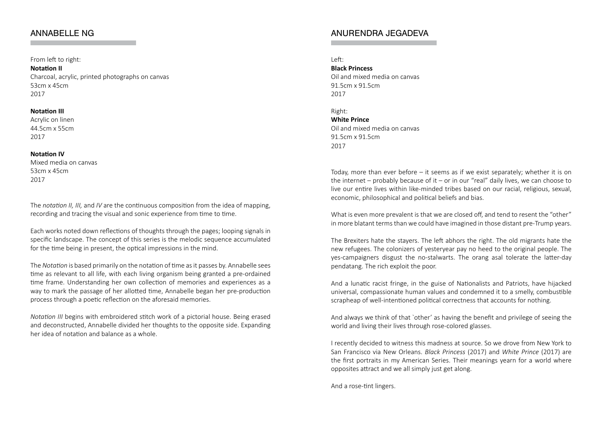### ANNABELLE NG

#### From left to right:

**Notation II**

Charcoal, acrylic, printed photographs on canvas 53cm x 45cm 2017

#### **Notation III**

Acrylic on linen 44.5cm x 55cm 2017

#### **Notation IV**

Mixed media on canvas 53cm x 45cm 2017

The *notation II, III,* and *IV* are the continuous composition from the idea of mapping, recording and tracing the visual and sonic experience from time to time.

Each works noted down reflections of thoughts through the pages; looping signals in specific landscape. The concept of this series is the melodic sequence accumulated for the time being in present, the optical impressions in the mind.

The *Notation* is based primarily on the notation of time as it passes by. Annabelle sees time as relevant to all life, with each living organism being granted a pre-ordained time frame. Understanding her own collection of memories and experiences as a way to mark the passage of her allotted time, Annabelle began her pre-production process through a poetic reflection on the aforesaid memories.

*Notation III* begins with embroidered stitch work of a pictorial house. Being erased and deconstructed, Annabelle divided her thoughts to the opposite side. Expanding her idea of notation and balance as a whole.

### ANURENDRA JEGADEVA

Left: **Black Princess** Oil and mixed media on canvas 91.5cm x 91.5cm 2017

Right: **White Prince** Oil and mixed media on canvas

91.5cm x 91.5cm 2017

Today, more than ever before – it seems as if we exist separately; whether it is on the internet – probably because of it – or in our "real" daily lives, we can choose to live our entire lives within like-minded tribes based on our racial, religious, sexual, economic, philosophical and political beliefs and bias.

What is even more prevalent is that we are closed off, and tend to resent the "other" in more blatant terms than we could have imagined in those distant pre-Trump years.

The Brexiters hate the stayers. The left abhors the right. The old migrants hate the new refugees. The colonizers of yesteryear pay no heed to the original people. The yes-campaigners disgust the no-stalwarts. The orang asal tolerate the latter-day pendatang. The rich exploit the poor.

And a lunatic racist fringe, in the guise of Nationalists and Patriots, have hijacked universal, compassionate human values and condemned it to a smelly, combustible scrapheap of well-intentioned political correctness that accounts for nothing.

And always we think of that `other' as having the benefit and privilege of seeing the world and living their lives through rose-colored glasses.

I recently decided to witness this madness at source. So we drove from New York to San Francisco via New Orleans. *Black Princess* (2017) and *White Prince* (2017) are the first portraits in my American Series. Their meanings yearn for a world where opposites attract and we all simply just get along.

And a rose-tint lingers.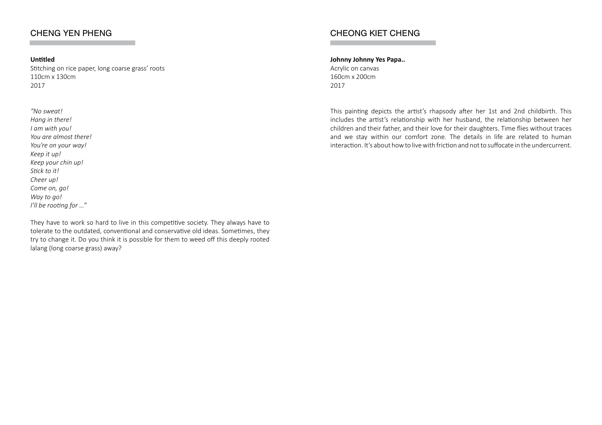## CHENG YEN PHENG

### **Untitled**

Stitching on rice paper, long coarse grass' roots 110cm x 130cm 2017

*"No sweat! Hang in there! I am with you! You are almost there! You're on your way! Keep it up! Keep your chin up! Stick to it! Cheer up! Come on, go! Way to go! I'll be rooting for …"*

They have to work so hard to live in this competitive society. They always have to tolerate to the outdated, conventional and conservative old ideas. Sometimes, they try to change it. Do you think it is possible for them to weed off this deeply rooted lalang (long coarse grass) away?

# CHEONG KIET CHENG

#### **Johnny Johnny Yes Papa..**

Acrylic on canvas 160cm x 200cm 2017

This painting depicts the artist's rhapsody after her 1st and 2nd childbirth. This includes the artist's relationship with her husband, the relationship between her children and their father, and their love for their daughters. Time flies without traces and we stay within our comfort zone. The details in life are related to human interaction. It's about how to live with friction and not to suffocate in the undercurrent.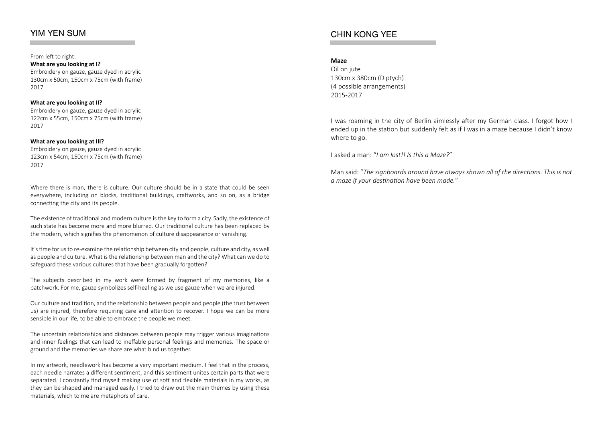## YIM YEN SUM

From left to right: **What are you looking at I?** Embroidery on gauze, gauze dyed in acrylic 130cm x 50cm, 150cm x 75cm (with frame) 2017

#### **What are you looking at II?** Embroidery on gauze, gauze dyed in acrylic 122cm x 55cm, 150cm x 75cm (with frame) 2017

#### **What are you looking at III?**

Embroidery on gauze, gauze dyed in acrylic 123cm x 54cm, 150cm x 75cm (with frame) 2017

Where there is man, there is culture. Our culture should be in a state that could be seen everywhere, including on blocks, traditional buildings, craftworks, and so on, as a bridge connecting the city and its people.

The existence of traditional and modern culture is the key to form a city. Sadly, the existence of such state has become more and more blurred. Our traditional culture has been replaced by the modern, which signifies the phenomenon of culture disappearance or vanishing.

It's time for us to re-examine the relationship between city and people, culture and city, as well as people and culture. What is the relationship between man and the city? What can we do to safeguard these various cultures that have been gradually forgotten?

The subjects described in my work were formed by fragment of my memories, like a patchwork. For me, gauze symbolizes self-healing as we use gauze when we are injured.

Our culture and tradition, and the relationship between people and people (the trust between us) are injured, therefore requiring care and attention to recover. I hope we can be more sensible in our life, to be able to embrace the people we meet.

The uncertain relationships and distances between people may trigger various imaginations and inner feelings that can lead to ineffable personal feelings and memories. The space or ground and the memories we share are what bind us together.

In my artwork, needlework has become a very important medium. I feel that in the process, each needle narrates a different sentiment, and this sentiment unites certain parts that were separated. I constantly find myself making use of soft and flexible materials in my works, as they can be shaped and managed easily. I tried to draw out the main themes by using these materials, which to me are metaphors of care.

### CHIN KONG YEE

#### **Maze**

Oil on jute 130cm x 380cm (Diptych) (4 possible arrangements) 2015-2017

I was roaming in the city of Berlin aimlessly after my German class. I forgot how I ended up in the station but suddenly felt as if I was in a maze because I didn't know where to go.

I asked a man: "*I am lost!! Is this a Maze?*"

Man said: "*The signboards around have always shown all of the directions. This is not a maze if your destination have been made.*"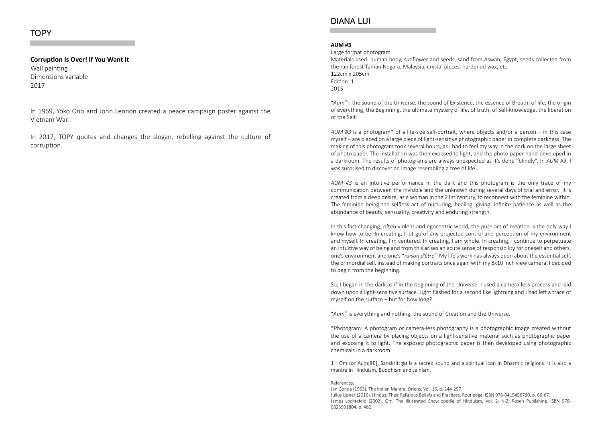#### **TOPY**

#### **Corruption Is Over! If You Want It**

Wall painting Dimensions variable 2017

In 1969, Yoko Ono and John Lennon created a peace campaign poster against the Vietnam War.

In 2017, TOPY quotes and changes the slogan, rebelling against the culture of corruption.

### DIANA LUI

#### **AUM #3**

Large format photogram

Materials used: human body, sunflower and seeds, sand from Aswan, Egypt, seeds collected from the rainforest Taman Negara, Malaysia, crystal pieces, hardened wax, etc. 122cm x 205cm Edition: 1 2015

"*Aum*"<sup>1</sup> - the sound of the Universe, the sound of Existence, the essence of Breath, of life, the origin of everything, the Beginning, the ultimate mystery of life, of truth, of Self-knowledge, the liberation of the Self.

*AUM #3* is a photogram\* of a life-size self-portrait, where objects and/or a person – in this case myself – are placed on a large piece of light-sensitive photographic paper in complete darkness. The making of this photogram took several hours, as I had to feel my way in the dark on the large sheet of photo paper. The installation was then exposed to light, and the photo paper hand-developed in a darkroom. The results of photograms are always unexpected as it's done "blindly". In *AUM #3*, I was surprised to discover an image resembling a tree of life.

*AUM #3* is an intuitive performance in the dark and this photogram is the only trace of my communication between the invisible and the unknown during several days of trial and error. It is created from a deep desire, as a woman in the 21st century, to reconnect with the feminine within. The feminine being the selfless act of nurturing, healing, giving, infinite patience as well as the abundance of beauty, sensuality, creativity and enduring strength.

In this fast-changing, often violent and egocentric world, the pure act of creation is the only way I know how to be. In creating, I let go of any projected control and perception of my environment and myself. In creating, I'm centered. In creating, I am whole. In creating, I continue to perpetuate an intuitive way of being and from this arises an acute sense of responsibility for oneself and others, one's environment and one's "*raison d'être*". My life's work has always been about the essential self, the primordial self. Instead of making portraits once again with my 8x10 inch view camera, I decided to begin from the beginning.

So, I began in the dark as if in the beginning of the Universe. I used a camera-less process and laid down upon a light-sensitive surface. Light flashed for a second like lightning and I had left a trace of myself on the surface – but for how long?

"*Aum*" is everything and nothing, the sound of Creation and the Universe.

\*Photogram: A photogram or camera-less photography is a photographic image created without the use of a camera by placing objects on a light-sensitive material such as photographic paper and exposing it to light. The exposed photographic paper is then developed using photographic chemicals in a darkroom.

1 Om (or Aum[ə̃ũ], Sanskrit:  $\hat{\mathbf{B}}$ ) is a sacred sound and a spiritual icon in Dharmic religions. It is also a mantra in Hinduism, Buddhism and Jainism.

#### References:

Jan Gonda (1963), The Indian Mantra, Oriens, Vol. 16, p. 244-297. Julius Lipner (2010), Hindus: Their Religious Beliefs and Practices, Routledge, ISBN 978-0415456760, p. 66-67. James Lochtefeld (2002), Om, The Illustrated Encyclopedia of Hinduism, Vol. 2: N-Z, Rosen Publishing. ISBN 978- 0823931804, p. 482.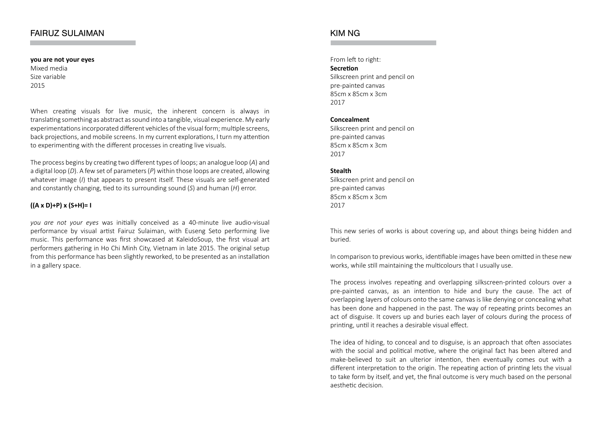### FAIRUZ SULAIMAN

**you are not your eyes** Mixed media Size variable 2015

When creating visuals for live music, the inherent concern is always in translating something as abstract as sound into a tangible, visual experience. My early experimentations incorporated different vehicles of the visual form; multiple screens, back projections, and mobile screens. In my current explorations, I turn my attention to experimenting with the different processes in creating live visuals.

The process begins by creating two different types of loops; an analogue loop (*A*) and a digital loop (*D*). A few set of parameters (*P*) within those loops are created, allowing whatever image (*I*) that appears to present itself. These visuals are self-generated and constantly changing, tied to its surrounding sound (*S*) and human (*H*) error.

### **((A x D)+P) x (S+H)= I**

*you are not your eyes* was initially conceived as a 40-minute live audio-visual performance by visual artist Fairuz Sulaiman, with Euseng Seto performing live music. This performance was first showcased at KaleidoSoup, the first visual art performers gathering in Ho Chi Minh City, Vietnam in late 2015. The original setup from this performance has been slightly reworked, to be presented as an installation in a gallery space.

### KIM NG

From left to right: **Secretion** Silkscreen print and pencil on pre-painted canvas 85cm x 85cm x 3cm 2017

#### **Concealment**

Silkscreen print and pencil on pre-painted canvas 85cm x 85cm x 3cm 2017

#### **Stealth**

Silkscreen print and pencil on pre-painted canvas 85cm x 85cm x 3cm 2017

This new series of works is about covering up, and about things being hidden and buried.

In comparison to previous works, identifiable images have been omitted in these new works, while still maintaining the multicolours that I usually use.

The process involves repeating and overlapping silkscreen-printed colours over a pre-painted canvas, as an intention to hide and bury the cause. The act of overlapping layers of colours onto the same canvas is like denying or concealing what has been done and happened in the past. The way of repeating prints becomes an act of disguise. It covers up and buries each layer of colours during the process of printing, until it reaches a desirable visual effect.

The idea of hiding, to conceal and to disguise, is an approach that often associates with the social and political motive, where the original fact has been altered and make-believed to suit an ulterior intention, then eventually comes out with a different interpretation to the origin. The repeating action of printing lets the visual to take form by itself, and yet, the final outcome is very much based on the personal aesthetic decision.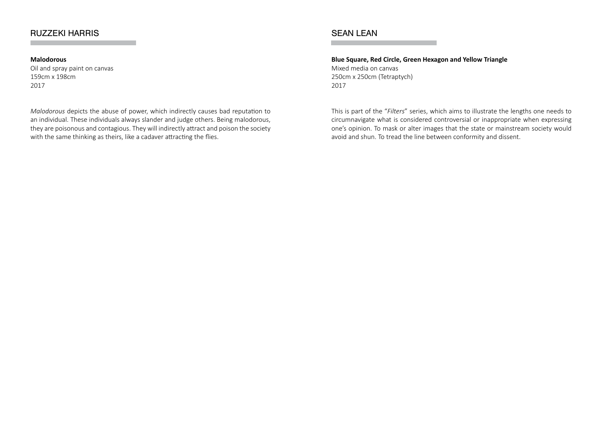## RUZZEKI HARRIS

### **Malodorous**

Oil and spray paint on canvas 159cm x 198cm 2017

*Malodorous* depicts the abuse of power, which indirectly causes bad reputation to an individual. These individuals always slander and judge others. Being malodorous, they are poisonous and contagious. They will indirectly attract and poison the society with the same thinking as theirs, like a cadaver attracting the flies.

## SEAN LEAN

**Blue Square, Red Circle, Green Hexagon and Yellow Triangle** Mixed media on canvas 250cm x 250cm (Tetraptych) 2017

This is part of the "*Filters*" series, which aims to illustrate the lengths one needs to circumnavigate what is considered controversial or inappropriate when expressing one's opinion. To mask or alter images that the state or mainstream society would avoid and shun. To tread the line between conformity and dissent.